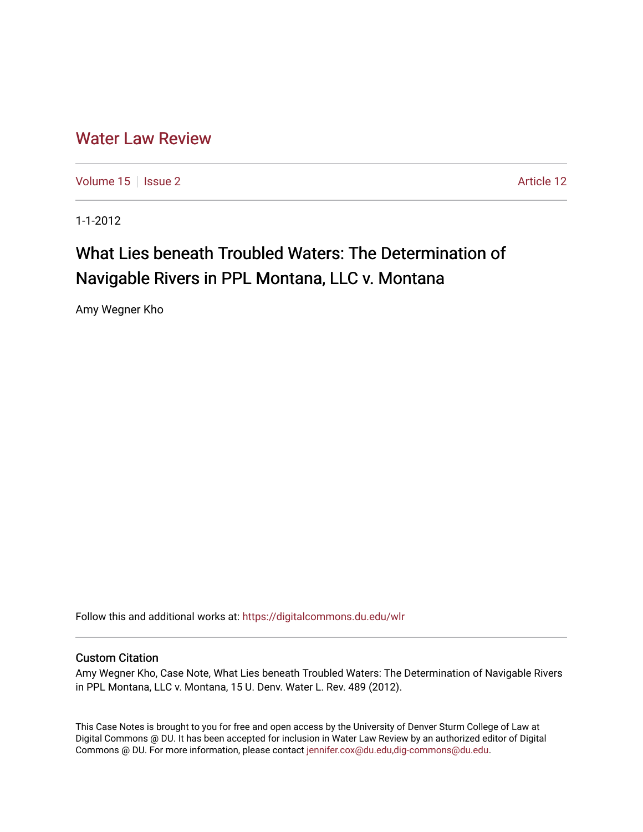# [Water Law Review](https://digitalcommons.du.edu/wlr)

[Volume 15](https://digitalcommons.du.edu/wlr/vol15) | [Issue 2](https://digitalcommons.du.edu/wlr/vol15/iss2) Article 12

1-1-2012

# What Lies beneath Troubled Waters: The Determination of Navigable Rivers in PPL Montana, LLC v. Montana

Amy Wegner Kho

Follow this and additional works at: [https://digitalcommons.du.edu/wlr](https://digitalcommons.du.edu/wlr?utm_source=digitalcommons.du.edu%2Fwlr%2Fvol15%2Fiss2%2F12&utm_medium=PDF&utm_campaign=PDFCoverPages) 

# Custom Citation

Amy Wegner Kho, Case Note, What Lies beneath Troubled Waters: The Determination of Navigable Rivers in PPL Montana, LLC v. Montana, 15 U. Denv. Water L. Rev. 489 (2012).

This Case Notes is brought to you for free and open access by the University of Denver Sturm College of Law at Digital Commons @ DU. It has been accepted for inclusion in Water Law Review by an authorized editor of Digital Commons @ DU. For more information, please contact [jennifer.cox@du.edu,dig-commons@du.edu.](mailto:jennifer.cox@du.edu,dig-commons@du.edu)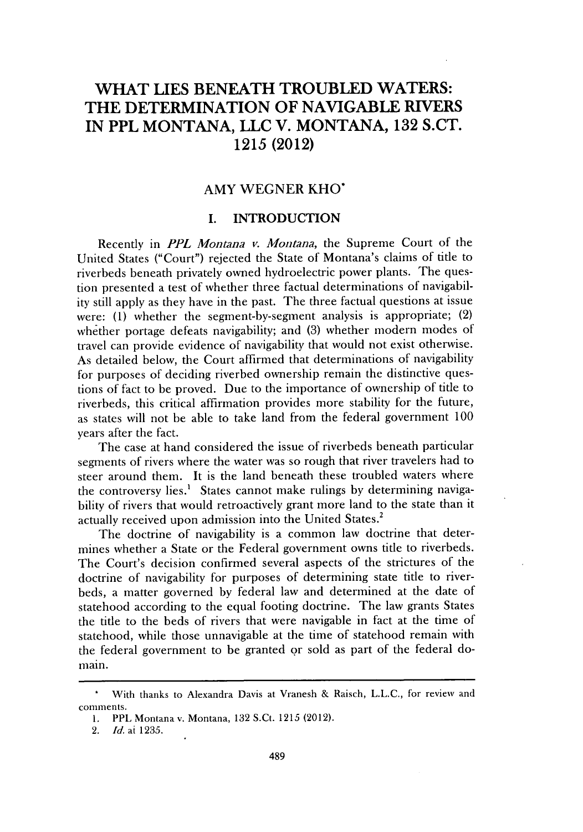# **WHAT LIES BENEATH TROUBLED WATERS: THE DETERMINATION OF NAVIGABLE RIVERS IN PPL MONTANA, LLC V. MONTANA, 132 S.CT. 1215 (2012)**

## AMY WEGNER KHO'

## **I. INTRODUCTION**

Recently in *PPL Montana v. Montana,* the Supreme Court of the United States ("Court") rejected the State of Montana's claims of title to riverbeds beneath privately owned hydroelectric power plants. The question presented a test of whether three factual determinations of navigability still apply as they have in the past. The three factual questions at issue were: **(1)** whether the segment-by-segment analysis is appropriate; (2) whether portage defeats navigability; and **(3)** whether modern modes of travel can provide evidence of navigability that would not exist otherwise. As detailed below, the Court affirmed that determinations of navigability for purposes of deciding riverbed ownership remain the distinctive questions of fact to be proved. Due to the importance of ownership of title to riverbeds, this critical affirmation provides more stability for the future, as states will not be able to take land from the federal government **100** years after the fact.

The case at hand considered the issue of riverbeds beneath particular segments of rivers where the water was so rough that river travelers had to steer around them. It is the land beneath these troubled waters where the controversy lies.' States cannot make rulings **by** determining navigability of rivers that would retroactively grant more land to the state than it actually received upon admission into the United States.<sup>2</sup>

The doctrine of navigability is a common law doctrine that determines whether a State or the Federal government owns title to riverbeds. The Court's decision confirmed several aspects of the strictures of the doctrine of navigability for purposes of determining state title to riverbeds, a matter governed **by** federal law and determined at the date of statehood according to the equal footing doctrine. The law grants States the title to the beds of rivers that were navigable in fact at the time of statehood, while those unnavigable at the time of statehood remain with the federal government to be granted or sold as part of the federal domain.

<sup>\*</sup> With thanks to Alexandra Davis at Vranesh *&* Raisch, **L.L.C.,** for review and comments.

**<sup>1.</sup>** PPL Montana v. Montana, **132** S.Ct. **1215** (2012).

*<sup>2.</sup> Id.* at **1235.**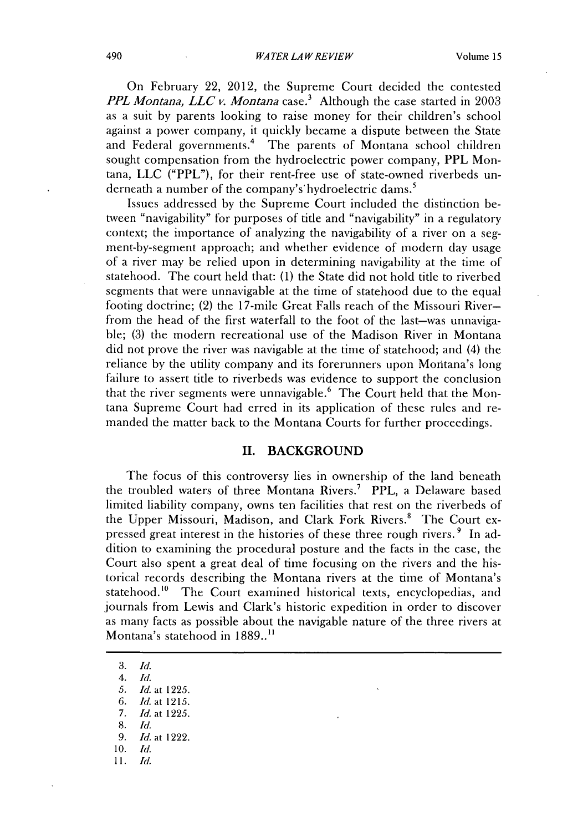#### *WATER LAW REVIEW* 490 Volume **15**

On February 22, 2012, the Supreme Court decided the contested *PPL Montana, LLC v. Montana case.3* Although the case started in **2003** as a suit **by** parents looking to raise money for their children's school against a power company, it quickly became a dispute between the State and Federal governments.<sup>4</sup> The parents of Montana school children sought compensation from the hydroelectric power company, **PPL** Montana, **LLC** ("PPL"), for their rent-free use of state-owned riverbeds underneath a number of the company's hydroelectric dams.<sup>5</sup>

Issues addressed **by** the Supreme Court included the distinction between "navigability" for purposes of title and "navigability" in a regulatory context; the importance of analyzing the navigability of a river on a segment-by-segment approach; and whether evidence of modern day usage of a river may be relied upon in determining navigability at the time of statehood. The court held that: **(1)** the State **did** not hold title to riverbed segments that were unnavigable at the time of statehood due to the equal footing doctrine; (2) the 17-mile Great Falls reach of the Missouri Riverfrom the head of the first waterfall to the foot of the last-was unnavigable; **(3)** the modern recreational use of the Madison River in Montana **did** not prove the river was navigable at the time of statehood; and (4) the reliance **by** the utility company and its forerunners upon Montana's long failure to assert title to riverbeds was evidence to support the conclusion that the river segments were unnavigable.<sup>6</sup> The Court held that the Montana Supreme Court had erred in its application of these rules and remanded the matter back to the Montana Courts for further proceedings.

#### **II. BACKGROUND**

The focus of this controversy lies in ownership of the land beneath the troubled waters of three Montana Rivers.<sup>7</sup> PPL, a Delaware based limited liability company, owns ten facilities that rest on the riverbeds of the Upper Missouri, Madison, and Clark Fork Rivers.<sup>8</sup> The Court expressed great interest in the histories of these three rough rivers. **9** In addition to examining the procedural posture and the facts in the case, the Court also spent a great deal of time focusing on the rivers and the historical records describing the Montana rivers at the time of Montana's statehood.<sup>10</sup> The Court examined historical texts, encyclopedias, and journals from Lewis and Clark's historic expedition in order to discover as many facts as possible about the navigable nature of the three rivers at Montana's statehood in **1889.."**

**3.** *Id.*

*4. Id.*

*5. Id. at* **1225.**

*6. Id. at 1215.*

*7. Id. at* **1225.**

**8.** *Id.*

**10. Id.**

**11.** *Id.*

*<sup>9.</sup> Id. at* 1222.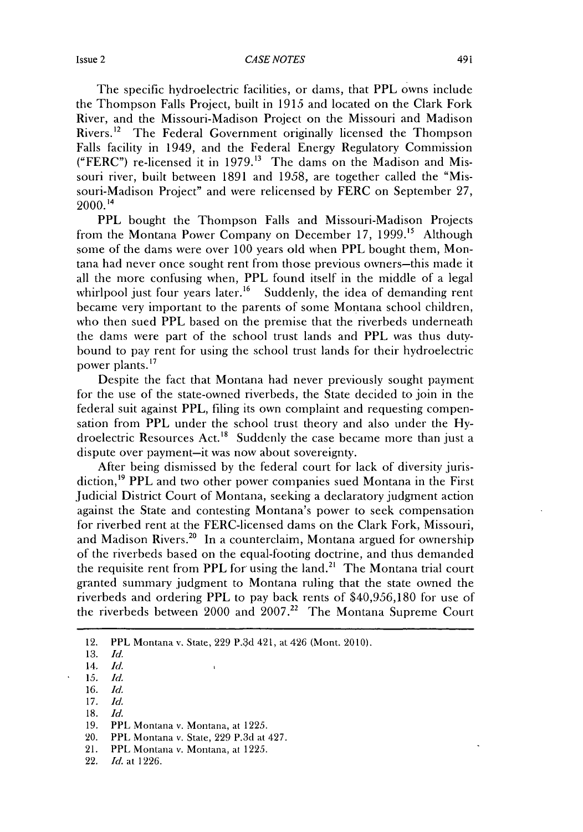The specific hydroelectric facilities, or dams, that PPL owns include the Thompson Falls Project, built in **1915** and located on the Clark **Fork** River, and the Missouri-Madison Project on the Missouri and Madison Rivers.<sup>12</sup> The Federal Government originally licensed the Thompson Falls facility in 1949, and the Federal Energy Regulatory Commission ("FERC") re-licensed it in **1979."** The dams on the Madison and Missouri river, built between **1891** and **1958,** are together called the "Missouri-Madison Project" and were relicensed **by** FERC on September **27,** 2000.14

PPL bought the Thompson Falls and Missouri-Madison Projects from the Montana Power Company on December **17, 1999."** Although some of the dams were over **100** years old when PPL bought them, Montana had never once sought rent from those previous owners-this made it all the more confusing when, PPL found itself in the middle of a legal whirlpool just four years later.<sup>16</sup> Suddenly, the idea of demanding rent became very important to the parents of some Montana school children, who then sued PPL based on the premise that the riverbeds underneath the dams were part of the school trust lands and PPL was thus dutybound to pay rent for using the school trust lands for their hydroelectric power plants."

Despite the fact that Montana had never previously sought payment for the use of the state-owned riverbeds, the State decided to join in the federal suit against **PPL,** filing its own complaint and requesting compensation from PPL under the school trust theory and also under the **Hy**droelectric Resources Act.<sup>18</sup> Suddenly the case became more than just a dispute over payment-it was now about sovereignty.

After being dismissed **by** the federal court for lack of diversity jurisdiction,<sup>19</sup> PPL and two other power companies sued Montana in the First Judicial District Court of Montana, seeking a declaratory judgment action against the State and contesting Montana's power to seek compensation for riverbed rent at the FERC-licensed dams on the Clark Fork, Missouri, and Madison Rivers.<sup>20</sup> In a counterclaim, Montana argued for ownership of the riverbeds based on the equal-footing doctrine, and thus demanded the requisite rent from PPL for using the land.<sup>21</sup> The Montana trial court granted summary judgment to Montana ruling that the state owned the riverbeds and ordering PPL to pay back rents of **\$40,956,180** for use of the riverbeds between 2000 and **2007.22** The Montana Supreme Court

- **16.** *Id.*
- **17.** *Id.*
- **1I8.** *Id.*

- 20. PPL Montana v. State, **229** P.3d at 427.
- 21. PPL Montana v. Montana, at **1225.**
- 22. *Id.* at **1226.**

<sup>12.</sup> PPL Montana v. State, **229 P. d 421,** at 426 (Mont. **2010).**

**<sup>13.</sup>** *Id.*

<sup>14.</sup> *Id.*

*<sup>15.</sup> Id.*

**<sup>19.</sup>** PPL Montana v. Montana, at **1225.**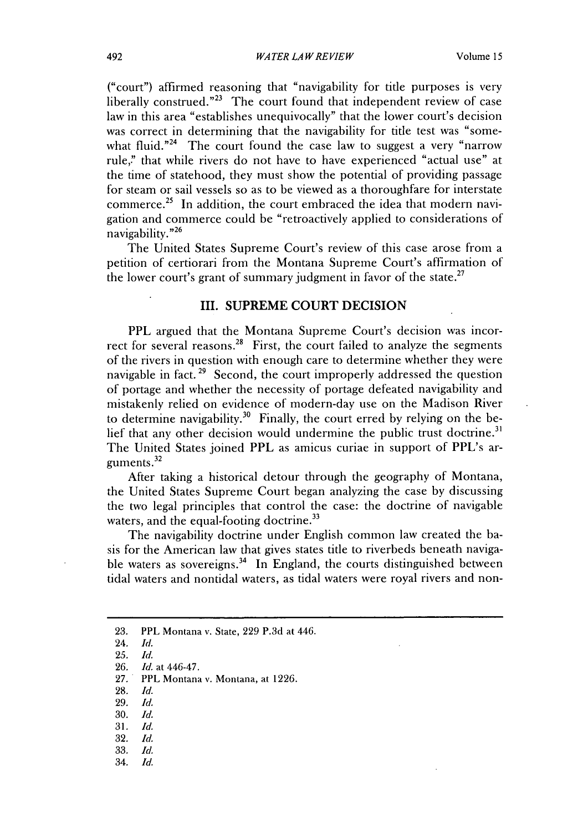("court") affirmed reasoning that "navigability for title purposes is very liberally construed."<sup>23</sup> The court found that independent review of case law in this area "establishes unequivocally" that the lower court's decision was correct in determining that the navigability for title test was "somewhat fluid."<sup>24</sup> The court found the case law to suggest a very "narrow" rule," that while rivers do not have to have experienced "actual use" at the time of statehood, they must show the potential of providing passage for steam or sail vessels so as to be viewed as a thoroughfare for interstate commerce.<sup>25</sup> In addition, the court embraced the idea that modern navigation and commerce could be "retroactively applied to considerations of navigability."<sup>26</sup>

The United States Supreme Court's review of this case arose from a petition of certiorari from the Montana Supreme Court's affirmation of the lower court's grant of summary judgment in favor of the state.<sup>27</sup>

#### **III. SUPREME COURT DECISION**

**PPL** argued that the Montana Supreme Court's decision was incorrect for several reasons.<sup>28</sup> First, the court failed to analyze the segments of the rivers in question with enough care to determine whether they were navigable in fact.<sup>29</sup> Second, the court improperly addressed the question of portage and whether the necessity of portage defeated navigability and mistakenly relied on evidence of modern-day use on the Madison River to determine navigability.30 Finally, the court erred **by** relying on the belief that any other decision would undermine the public trust doctrine.<sup>31</sup> The United States joined PPL as amicus curiae in support of PPL's arguments. <sup>32</sup>

After taking a historical detour through the geography of Montana, the United States Supreme Court began analyzing the case **by** discussing the two legal principles that control the case: the doctrine of navigable waters, and the equal-footing doctrine.<sup>33</sup>

The navigability doctrine under English common law created the basis for the American law that gives states title to riverbeds beneath navigable waters as sovereigns.<sup>34</sup> In England, the courts distinguished between tidal waters and nontidal waters, as tidal waters were royal rivers and non-

- **28.** *Id.*
- **29.** *Id.*
- **30.** *Id.*
- **31.** *Id.*
- **32.** *Id.* **33.** *Id.*
- 
- 34. *Id.*

**<sup>23.</sup>** PPL Montana v. State, **229 P.3d** at 446.

<sup>24.</sup> *Id.*

**<sup>25.</sup>** *Id.*

**<sup>26.</sup>** *Id. at 446-47.*

**<sup>27.</sup>** PPL Montana v. Montana, at **1226.**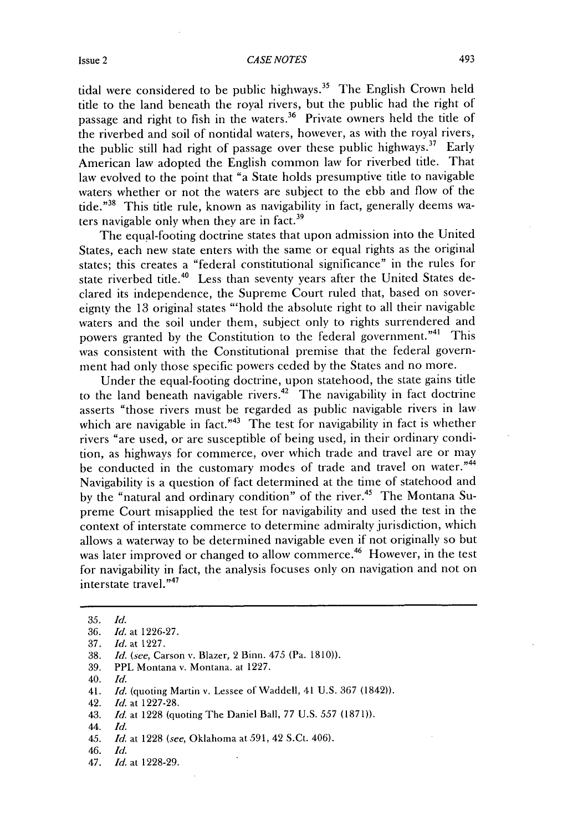#### Issue 2 6 and 2 and 2 and 2 and 2 and 2 and 2 and 2 and 2 and 2 and 2 and 2 and 2 and 2 and 2 and 2 and 2 and 2 and 2 and 2 and 2 and 2 and 2 and 2 and 2 and 2 and 2 and 2 and 2 and 2 and 2 and 2 and 2 and 2 and 2 and 2 an

tidal were considered to be public highways.<sup>35</sup> The English Crown held title to the land beneath the royal rivers, but the public had the right of passage and right to fish in the waters.<sup>36</sup> Private owners held the title of the riverbed and soil of nontidal waters, however, as with the royal rivers, the public still had right of passage over these public highways.<sup>37</sup> Early American law adopted the English common law for riverbed title. That law evolved to the point that "a State holds presumptive title to navigable waters whether or not the waters are subject to the ebb and flow of the tide."38 This title rule, known as navigability in fact, generally deems waters navigable only when they are in fact.<sup>39</sup>

The equal-footing doctrine states that upon admission into the United States, each new state enters with the same or equal rights as the original states; this creates a "federal constitutional significance" in the rules for state riverbed title.<sup>40</sup> Less than seventy years after the United States declared its independence, the Supreme Court ruled that, based on sovereignty the **13** original states "'hold the absolute right to all their navigable waters and the soil under them, subject only to rights surrendered and powers granted **by** the Constitution to the federal government."41 This was consistent with the Constitutional premise that the federal govern**ment** had only those specific powers ceded **by** the States and no more.

Under the equal-footing doctrine, upon statehood, the state gains title to the land beneath navigable rivers. 42 The navigability in fact doctrine asserts "those rivers must be regarded as public navigable rivers in law which are navigable in fact."<sup>43</sup> The test for navigability in fact is whether rivers "are used, or are susceptible of being used, in their ordinary condition, as highways for commerce, over which trade and travel are or may be conducted in the customary modes of trade and travel on water."44 Navigability is a question of fact determined at the time of statehood and **by** the "natural and ordinary condition" of the river. 45 The Montana Supreme Court misapplied the test for navigability and used the test in the context of interstate commerce to determine admiralty jurisdiction, which allows a waterway to be determined navigable even if not originally so but was later improved or changed to allow commerce.<sup>46</sup> However, in the test for navigability **in fact,** the analysis focuses only on navigation and not on interstate travel."47

- **39.** PPL Montana v. Montana. at **1227.**
- 40. *Id.*

- 42. *Id.* at **1227-28.**
- 43. *Id.* at **1228** (quoting The Daniel Ball, **77 U.S.** *557* **(1871)).**
- 44. *Id.*
- *45. Id.* at **1228** (see, Oklahoma at **591,** 42 S.Ct. 406).
- 46. *Id.*
- 47. *Id.* at **1228-29.**

*<sup>35.</sup> Id.*

**<sup>36.</sup>** *Id.* at **1226-27.**

**<sup>37.</sup>** *Id.* at **1227.**

**<sup>38.</sup>** *Id.* (see, Carson **v.** Blazer, 2 Binn. *475* (Pa. **1810)).**

<sup>41.</sup> *Id.* (quoting Martin v. Lessee of Waddell, 41 **U.S. 367** (1842)).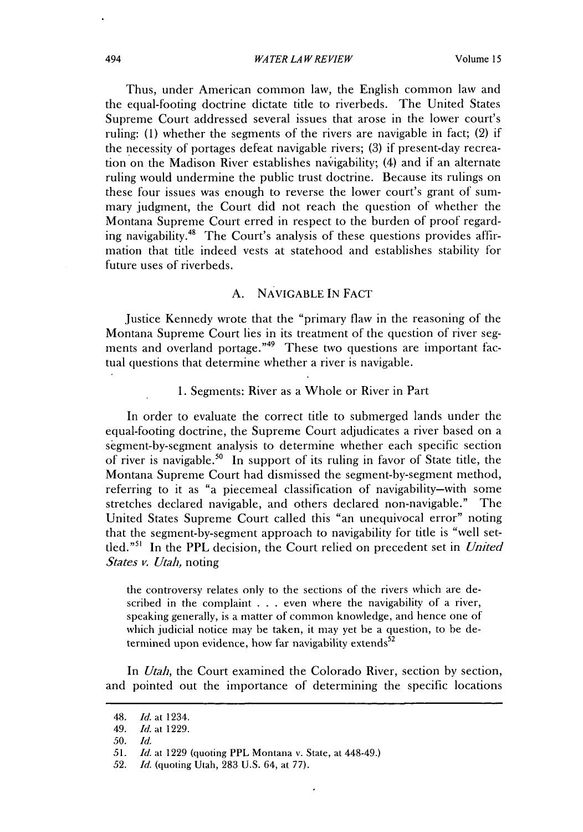Thus, under American common law, the English common law and the equal-footing doctrine dictate title to riverbeds. The United States Supreme Court addressed several issues that arose in the lower court's ruling: **(1)** whether the segments of the rivers are navigable in fact; (2) **if** the necessity of portages defeat navigable rivers; **(3) if** present-day recreation on the Madison River establishes navigability; (4) and **if** an alternate ruling would undermine the public trust doctrine. Because its rulings on these four issues was enough to reverse the lower court's grant of summary judgment, the Court **did** not reach the question of whether the Montana Supreme Court erred in respect to the burden of proof regarding navigability.48 The Court's analysis of these questions provides affirmation that title indeed vests at statehood and establishes stability for future uses of riverbeds.

### **A. NAVIGABLE IN FACT**

Justice Kennedy wrote that the "primary flaw in the reasoning of the Montana Supreme Court lies in its treatment of the question of river segments and overland portage."<sup>49</sup> These two questions are important factual questions that determine whether a river is navigable.

**1.** Segments: River as a Whole or River in Part

In order to evaluate the correct title to submerged lands under the equal-footing doctrine, the Supreme Court adjudicates a river based on a segment-by-segment analysis to determine whether each specific section of river is navigable.<sup>50</sup> In support of its ruling in favor of State title, the Montana Supreme Court had dismissed the segment-by-segment method, referring to it as "a piecemeal classification of navigability-with some stretches declared navigable, and others declared non-navigable." The United States Supreme Court called this "an unequivocal error" noting that the segment-by-segment approach to navigability for title is "well settled."" In the **PPL** decision, the Court relied on precedent set in *United States v. Utah,* noting

the controversy relates only to the sections of the rivers which are described in the complaint **. . .** even where the navigability of a river, speaking generally, is a matter of common knowledge, and hence one of which judicial notice may be taken, it may yet be a question, to be determined upon evidence, how far navigability extends<sup>52</sup>

*In Utah,* the Court examined the Colorado River, section **by** section, and pointed out the importance of determining the specific locations

<sup>48.</sup> *Id.* at 1234.

*<sup>49.</sup> Id.* at **1229.**

**<sup>50.</sup> Id.**

*<sup>51.</sup> Id.* at **1229** (quoting PPL Montana v. State, at 448-49.)

**<sup>52.</sup>** *Id.* (quoting Utah, **283 U.S.** 64, at **77).**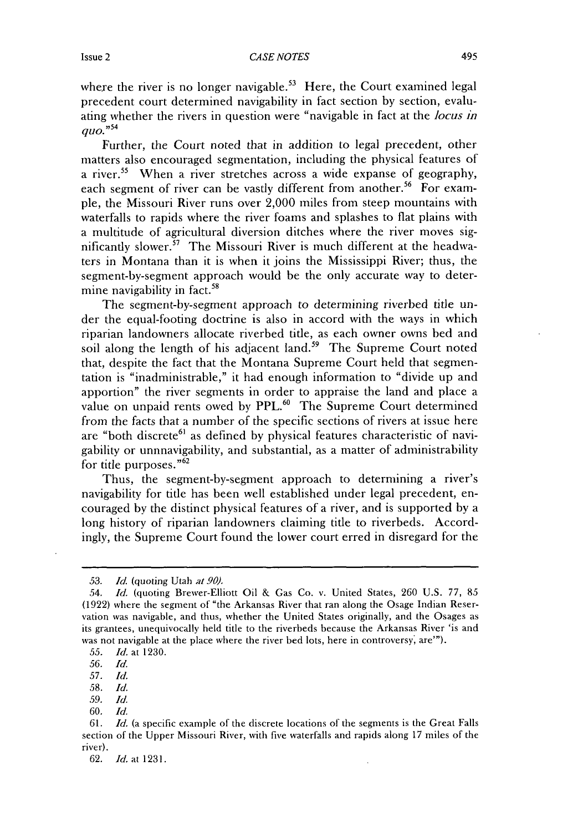where the river is no longer navigable.<sup>53</sup> Here, the Court examined legal precedent court determined navigability in fact section **by** section, evaluating whether the rivers in question were "navigable in fact at the *locus in quo."54*

Further, the Court noted that in addition to legal precedent, other matters also encouraged segmentation, including the physical features of a river.<sup>55</sup> When a river stretches across a wide expanse of geography, each segment of river can be vastly different from another.<sup>56</sup> For example, the Missouri River runs over 2,000 miles from steep mountains with waterfalls to rapids where the river foams and splashes to flat plains with a multitude of agricultural diversion ditches where the river moves significantly slower.<sup>57</sup> The Missouri River is much different at the headwaters in Montana than it is when it joins the Mississippi River; thus, the segment-by-segment approach would be the only accurate way to determine navigability in fact.<sup>58</sup>

The segment-by-segment approach to determining riverbed title under the equal-footing doctrine is also in accord with the ways in which riparian landowners allocate riverbed title, as each owner owns bed and soil along the length of his adjacent land.<sup>59</sup> The Supreme Court noted that, despite the fact that the Montana Supreme Court held that segmentation is "inadministrable," it had enough information to "divide up and apportion" the river segments in order to appraise the land and place a value on unpaid rents owed by PPL.<sup>60</sup> The Supreme Court determined from the facts that a number of the specific sections of rivers at issue here are "both discrete<sup>61</sup> as defined by physical features characteristic of navigability or unnnavigability, and substantial, as a matter of administrability for title purposes."<sup>62</sup>

Thus, the segment-by-segment approach to determining a river's navigability for title has been well established under legal precedent, encouraged by the distinct physical features of a river, and is supported **by** a long history of riparian landowners claiming title to riverbeds. Accordingly, the Supreme Court found the lower court erred in disregard for the

*<sup>53.</sup> Id.* (quoting Utah *at 90).*

*<sup>54.</sup> Id.* (quoting Brewer-Elliott Oil **&** Gas Co. v. United States, **260 U.S. 77,** *85* **(1922)** where the segment of "the Arkansas River that ran along the Osage Indian Reservation was navigable, and thus, whether the United States originally, and the Osages as its grantees, unequivocally held title to the riverbeds because the Arkansas River 'is and was not navigable at the place where the river bed lots, here in controversy, are"').

*<sup>55.</sup> Id.* at **1230.**

*<sup>56.</sup> Id.*

*<sup>57.</sup> Id.*

*<sup>58.</sup> Id.*

*<sup>59.</sup> Id.*

**<sup>60.</sup>** *Id.*

**<sup>61.</sup>** *Id.* (a specific example of the discrete locations of the segments is the Great Falls section of the Upper Missouri River, with five waterfalls and rapids along **17** miles of the river).

**<sup>62.</sup>** *Id.* at **1231.**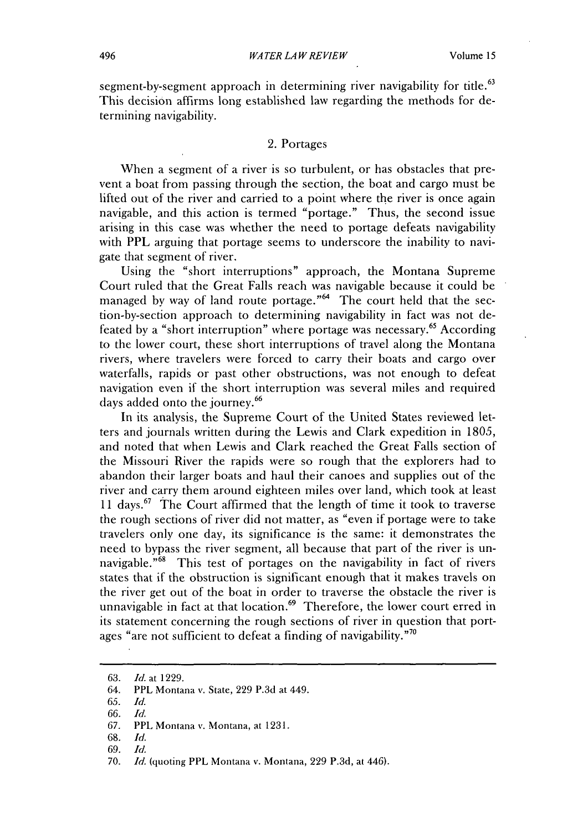segment-by-segment approach in determining river navigability for title.<sup>63</sup> This decision affirms long established law regarding the methods for **de**termining navigability.

#### 2. Portages

When a segment of a river is so turbulent, or has obstacles that prevent a boat from passing through the section, the boat and cargo must be lifted out of the river and carried to a point where the river is once again navigable, and this action is termed "portage." Thus, the second issue arising in this case was whether the need to portage defeats navigability with **PPL** arguing that portage seems to underscore the inability to navigate that segment of river.

Using the "short interruptions" approach, the Montana Supreme Court ruled that the Great Falls reach was navigable because it could be managed by way of land route portage."<sup>64</sup> The court held that the section-by-section approach to determining navigability in fact was not defeated by a "short interruption" where portage was necessary.<sup>65</sup> According to the lower court, these short interruptions of travel along the Montana rivers, where travelers were forced to carry their boats and cargo over waterfalls, rapids or past other obstructions, was not enough to defeat navigation even if the short interruption was several miles and required days added onto the journey.<sup>66</sup>

In its analysis, the Supreme Court of the United States reviewed letters and journals written during the Lewis and Clark expedition in **1805,** and noted that when Lewis and Clark reached the Great Falls section of the Missouri River the rapids were so rough that the explorers had to abandon their larger boats and haul their canoes and supplies out of the river and carry them around eighteen miles over land, which took at least **<sup>11</sup>**days.67 The Court affirmed that the length of time it took to traverse the rough sections of river **did** not matter, as "even **if** portage were to take travelers only one day, its significance is the same: it demonstrates the need to bypass the river segment, all because that part of the river is unnavigable."<sup>68</sup> This test of portages on the navigability in fact of rivers states that if the obstruction is significant enough that it makes travels on the river get out of the boat in order to traverse the obstacle the river **is** unnavigable in fact at that location.<sup>69</sup> Therefore, the lower court erred in its statement concerning the rough sections of river in question that portages "are not sufficient to defeat a finding of navigability."<sup>70</sup>

- **65.** *Id.*
- *66. Id.*

- **68.** *Id.*
- **69.** *Id.*

**<sup>63.</sup>** *Id. at* **1229.**

<sup>64.</sup> PPL Montana **v.** State, **229 P.3d** at 449.

**<sup>67.</sup>** PPL Montana **v.** Montana, at **1231.**

**<sup>70.</sup>** *Id.* (quoting PPL Montana v. Montana, **229 P.3d,** at 446).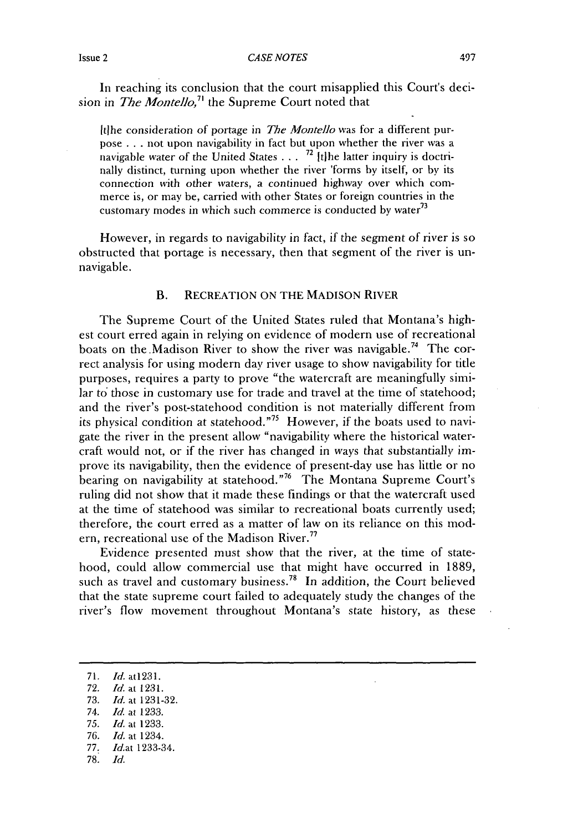*CASE NOTES* Issue 2 497

In reaching its conclusion that the court misapplied this Court's decision in *The Montello,7* the Supreme Court noted that

Itlhe consideration of portage in *The Montello* was for a different purpose **.** . **.** not upon navigability in fact but upon whether the river was a navigable water of the United States **... 72** Itlhe latter inquiry is doctrinally distinct, turning upon whether the river 'forms **by** itself, or **by** its connection with other waters, a continued highway over which commerce is, or may be, carried with other States or foreign countries in the customary modes in which such commerce is conducted **by water7 <sup>3</sup>**

However, in regards to navigability in fact, if the segment of river **is so** obstructed that portage is necessary, then that segment of the river is unnavigable.

#### B. RECREATION **ON** THE **MADISON** RIVER

The Supreme Court of the United States ruled that Montana's **high**est court erred again in relying on evidence of modern use of recreational boats on the Madison River to show the river was navigable.<sup>74</sup> The correct analysis for using modern day river usage to show navigability for title purposes, requires a party to prove "the watercraft are meaningfully similar to those in customary use for trade and travel at the time of statehood; and the river's post-statehood condition is not materially different from its physical condition at statehood."<sup>75</sup> However, if the boats used to navigate the river in the present allow "navigability where the historical watercraft would not, or if the river has changed in ways that substantially **im**prove its navigability, then the evidence of present-day use has little or no bearing on navigability at statehood."<sup>76</sup> The Montana Supreme Court's ruling **did** not show that it made these findings or that the watercraft used at the time of statehood was similar to recreational boats currently used; therefore, the court erred as a matter of law on its reliance on this modern, recreational use of the Madison River.<sup>77</sup>

Evidence presented must show that the river, at the time of statehood, could allow commercial use that might have occurred in **1889,** such as travel and customary business.<sup>78</sup> In addition, the Court believed that the state supreme court failed to adequately study the changes of the river's flow movement throughout Montana's state history, as these

**78.** *Id.*

**<sup>71.</sup>** *Id.* at1231.

**<sup>72.</sup>** Id. at **1231.**

**<sup>73.</sup>** *Id.* at **1231-32.**

*<sup>74.</sup> Id.* at **1233.**

*<sup>75.</sup> Id.* at **1233.**

*<sup>76.</sup> Id.* at 1234.

*<sup>77.</sup> Id.at* 1233-34.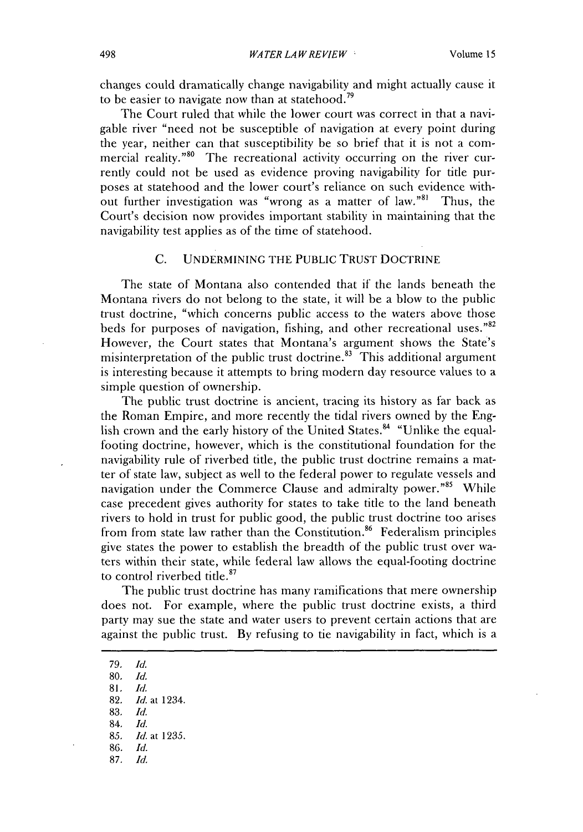changes could dramatically change navigability and might actually cause it to be easier to navigate now than at statehood.<sup>79</sup>

The Court ruled that while the lower court was correct in that a navigable river "need not be susceptible of navigation at every point during the year, neither **can** that susceptibility be **so** brief that it is not a commercial reality."<sup>80</sup> The recreational activity occurring on the river currently could not be used as evidence proving navigability for title purposes at statehood and the lower court's reliance on such evidence without further investigation was "wrong as a matter of law."<sup>81</sup> Thus, the Court's decision now provides important stability in maintaining that the navigability test applies as of the time of statehood.

#### **C. UNDERMINING** THE PUBLIC TRUST **DOCTRINE**

The state of Montana also contended that **if** the lands beneath the Montana rivers do not belong to the state, it will be a blow to the public trust doctrine, "which concerns public access to the waters above those beds for purposes of navigation, fishing, and other recreational uses."82 However, the Court states that Montana's argument shows the State's misinterpretation of the public trust doctrine.<sup>83</sup> This additional argument is interesting because it attempts to bring modern day resource values to a simple question of ownership.

The public trust doctrine is ancient, tracing its history as far back as the Roman Empire, and more recently the tidal rivers owned **by** the English crown and the early history of the United States.<sup>84</sup> "Unlike the equalfooting doctrine, however, which is the constitutional foundation for the navigability rule of riverbed title, the public trust doctrine remains a matter of state law, subject as well to the federal power to regulate vessels and navigation under the Commerce Clause and admiralty power."<sup>85</sup> While case precedent gives authority for states to take title to the land beneath rivers to hold in trust for public good, the public trust doctrine too arises from from state law rather than the Constitution.<sup>86</sup> Federalism principles give states the power to establish the breadth of the public trust over waters within their state, while federal law allows the equal-footing doctrine to control riverbed title.<sup>87</sup>

The public trust doctrine has many ramifications that mere ownership does not. For example, where the public trust doctrine exists, a third party may sue the state and water users to prevent certain actions that are against the public trust. **By** refusing to tie navigability in fact, which is a

**79.** *Id.* **80.** *Id.* **81.** *Id.* **82.** *Id.* **at** 1234. **83,** *Id.* 84. *Id. 85. Id.* **at 1235. 86.** *Id.* **87.** *Id.*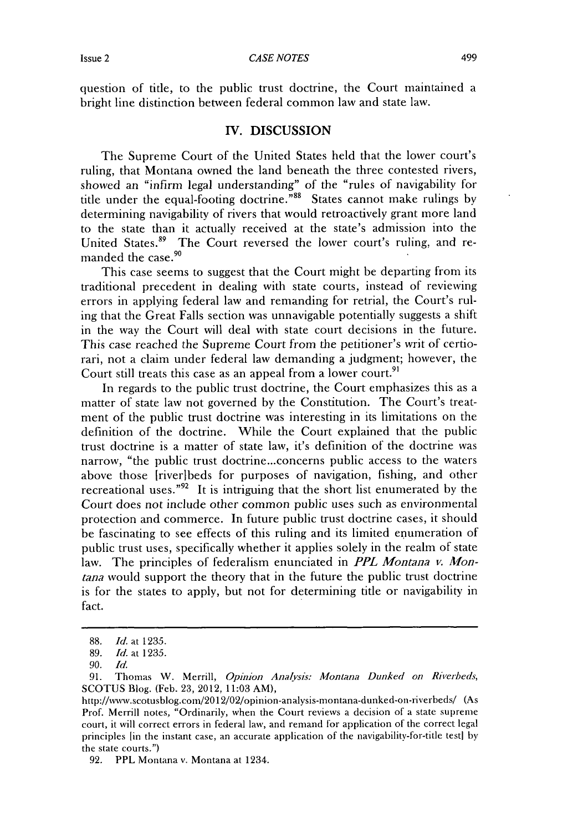*CASE NOTES* Issue 2 499

question of title, to the public trust doctrine, the Court maintained a bright line distinction between federal common law and state law.

#### IV. **DISCUSSION**

The Supreme Court of the United States held that the lower court's ruling, that Montana owned the land beneath the three contested rivers, showed an "infirm legal understanding" of the "rules of navigability for title under the equal-footing doctrine.""8 States cannot make rulings **by** determining navigability of rivers that would retroactively grant more land to the state than it actually received at the state's admission into the United States.<sup>89</sup> The Court reversed the lower court's ruling, and remanded the case.<sup>90</sup>

This case seems to suggest that the Court might **be** departing from its traditional precedent in dealing with state courts, instead of reviewing errors in applying federal law and remanding for retrial, the Court's ruling that the Great Falls section was unnavigable potentially suggests a shift in the way the Court will deal with state court decisions in the future. This case reached the Supreme Court from the petitioner's writ of certiorari, not a claim under federal law demanding a judgment; however, the Court still treats this case as an appeal from a lower court.<sup>91</sup>

In regards to the public trust doctrine, the Court emphasizes this as a matter of state law not governed **by** the Constitution. The Court's treatnent of the public trust doctrine was interesting in its limitations on the definition of the doctrine. While the Court explained that the public trust doctrine is a matter of state law, it's definition of the doctrine was narrow, "the public trust doctrine...concerns public access to the waters above those [river]beds for purposes of navigation, fishing, and other recreational uses."92 It is intriguing that the short list enumerated **by** the Court does not include other common public uses such as environmental protection and commerce. In future public trust doctrine cases, it should be fascinating to see effects of this ruling and its limited enumeration of public trust uses, specifically whether it applies solely in the realm of state law. The principles of federalism enunciated in *PPL Montana v. Montana* would support the theory that in the future the public trust doctrine is for the states to apply, but not for determining title or navigability in fact.

**<sup>88.</sup>** *Id.* at **1235.**

**<sup>89.</sup>** *Id.* at **1235.**

*<sup>90.</sup> Id.*

**<sup>91.</sup>** Thomas W. Merrill, *Opinion Analvsis: Montana Dunked on Riverbeds,* **SCOTUS** Blog. (Feb. **23, 2012, 11:03** AM),

http://www.scotusblog.com/2012/02/opinion-analysis-montana-dunked-on-riverbeds/ (As Prof. Merrill notes, "Ordinarily, when the Court reviews a decision of a state supreme court, it will correct errors in federal law, and remand for application of the correct legal principles [in the instant case, an accurate application of the navigability-for-title testi **by** the state courts.")

**<sup>92.</sup> PPL** Montana v. Montana at 1234.